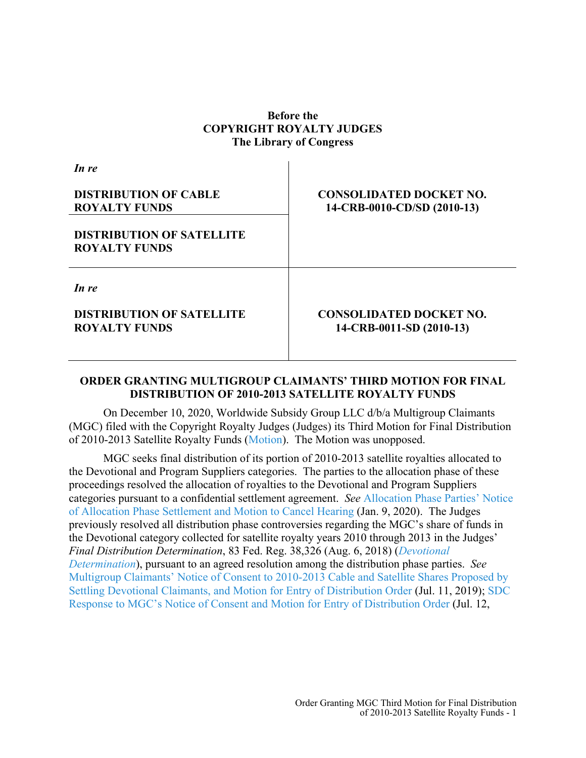## **Before the COPYRIGHT ROYALTY JUDGES The Library of Congress**

| In re                                                    |                                                               |
|----------------------------------------------------------|---------------------------------------------------------------|
| <b>DISTRIBUTION OF CABLE</b><br><b>ROYALTY FUNDS</b>     | <b>CONSOLIDATED DOCKET NO.</b><br>14-CRB-0010-CD/SD (2010-13) |
| <b>DISTRIBUTION OF SATELLITE</b><br><b>ROYALTY FUNDS</b> |                                                               |
| In re                                                    |                                                               |
| <b>DISTRIBUTION OF SATELLITE</b><br><b>ROYALTY FUNDS</b> | <b>CONSOLIDATED DOCKET NO.</b><br>14-CRB-0011-SD (2010-13)    |

## **ORDER GRANTING MULTIGROUP CLAIMANTS' THIRD MOTION FOR FINAL DISTRIBUTION OF 2010-2013 SATELLITE ROYALTY FUNDS**

On December 10, 2020, Worldwide Subsidy Group LLC d/b/a Multigroup Claimants (MGC) filed with the Copyright Royalty Judges (Judges) its Third Motion for Final Distribution of 2010-2013 Satellite Royalty Funds [\(Motion\)](https://app.crb.gov/document/download/23381). The Motion was unopposed.

MGC seeks final distribution of its portion of 2010-2013 satellite royalties allocated to the Devotional and Program Suppliers categories. The parties to the allocation phase of these proceedings resolved the allocation of royalties to the Devotional and Program Suppliers categories pursuant to a confidential settlement agreement. *See* [Allocation Phase Parties' Notice](https://app.crb.gov/document/download/20216)  [of Allocation Phase Settlement](https://app.crb.gov/document/download/20216) and Motion to Cancel Hearing (Jan. 9, 2020). The Judges previously resolved all distribution phase controversies regarding the MGC's share of funds in the Devotional category collected for satellite royalty years 2010 through 2013 in the Judges' *Final Distribution Determination*, 83 Fed. Reg. 38,326 (Aug. 6, 2018) (*[Devotional](https://app.crb.gov/document/download/3426)  [Determination](https://app.crb.gov/document/download/3426)*), pursuant to an agreed resolution among the distribution phase parties. *See* [Multigroup Claimants' Notice of Consent to 2010-2013 Cable and Satellite Shares Proposed by](https://app.crb.gov/document/download/2667)  [Settling Devotional Claimants, and Motion for Entry of Distribution Order](https://app.crb.gov/document/download/2667) (Jul. 11, 2019); [SDC](https://app.crb.gov/document/download/2726)  [Response to MGC's Notice of Consent and Motion for Entry of Distribution Order](https://app.crb.gov/document/download/2726) (Jul. 12,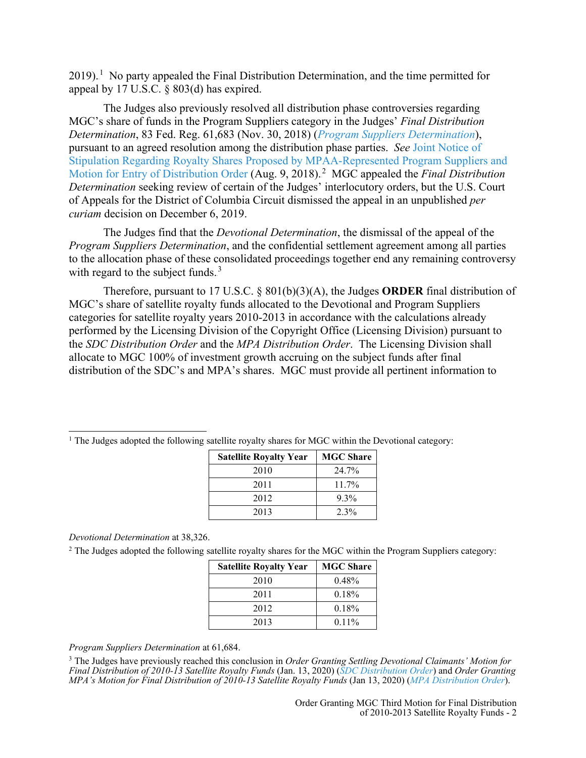$2019$ .<sup>1</sup> No party appealed the Final Distribution Determination, and the time permitted for appeal by 17 U.S.C. § 803(d) has expired.

The Judges also previously resolved all distribution phase controversies regarding MGC's share of funds in the Program Suppliers category in the Judges' *Final Distribution Determination*, 83 Fed. Reg. 61,683 (Nov. 30, 2018) (*[Program Suppliers Determination](https://app.crb.gov/document/download/3651)*), pursuant to an agreed resolution among the distribution phase parties. *See* [Joint Notice of](https://app.crb.gov/document/download/3423)  [Stipulation Regarding Royalty Shares Proposed by MPAA-Represented Program Suppliers and](https://app.crb.gov/document/download/3423)  [Motion for Entry of Distribution Order](https://app.crb.gov/document/download/3423) (Aug. 9, 2018).<sup>2</sup> MGC appealed the *Final Distribution Determination* seeking review of certain of the Judges' interlocutory orders, but the U.S. Court of Appeals for the District of Columbia Circuit dismissed the appeal in an unpublished *per curiam* decision on December 6, 2019.

The Judges find that the *Devotional Determination*, the dismissal of the appeal of the *Program Suppliers Determination*, and the confidential settlement agreement among all parties to the allocation phase of these consolidated proceedings together end any remaining controversy with regard to the subject funds. $3$ 

Therefore, pursuant to 17 U.S.C. § 801(b)(3)(A), the Judges **ORDER** final distribution of MGC's share of satellite royalty funds allocated to the Devotional and Program Suppliers categories for satellite royalty years 2010-2013 in accordance with the calculations already performed by the Licensing Division of the Copyright Office (Licensing Division) pursuant to the *SDC Distribution Order* and the *MPA Distribution Order*. The Licensing Division shall allocate to MGC 100% of investment growth accruing on the subject funds after final distribution of the SDC's and MPA's shares. MGC must provide all pertinent information to

| <b>Satellite Royalty Year</b> | <b>MGC Share</b> |
|-------------------------------|------------------|
| 2010                          | 24.7%            |
| 2011                          | $11.7\%$         |
| 2012                          | $9.3\%$          |
| 2013                          | $2.3\%$          |

 $<sup>1</sup>$  The Judges adopted the following satellite royalty shares for MGC within the Devotional category:</sup>

*Devotional Determination* at 38,326.

<sup>2</sup> The Judges adopted the following satellite royalty shares for the MGC within the Program Suppliers category:

| <b>Satellite Royalty Year</b> | <b>MGC Share</b> |
|-------------------------------|------------------|
| 2010                          | 0.48%            |
| 2011                          | 0.18%            |
| 2012                          | 0.18%            |
| 2013                          | $0.11\%$         |

*Program Suppliers Determination* at 61,684.

<sup>3</sup> The Judges have previously reached this conclusion in *Order Granting Settling Devotional Claimants' Motion for Final Distribution of 2010-13 Satellite Royalty Funds* (Jan. 13, 2020) (*[SDC Distribution Order](https://app.crb.gov/document/download/20243)*) and *Order Granting MPA's Motion for Final Distribution of 2010-13 Satellite Royalty Funds* (Jan 13, 2020) (*[MPA Distribution Order](https://app.crb.gov/document/download/20239)*).